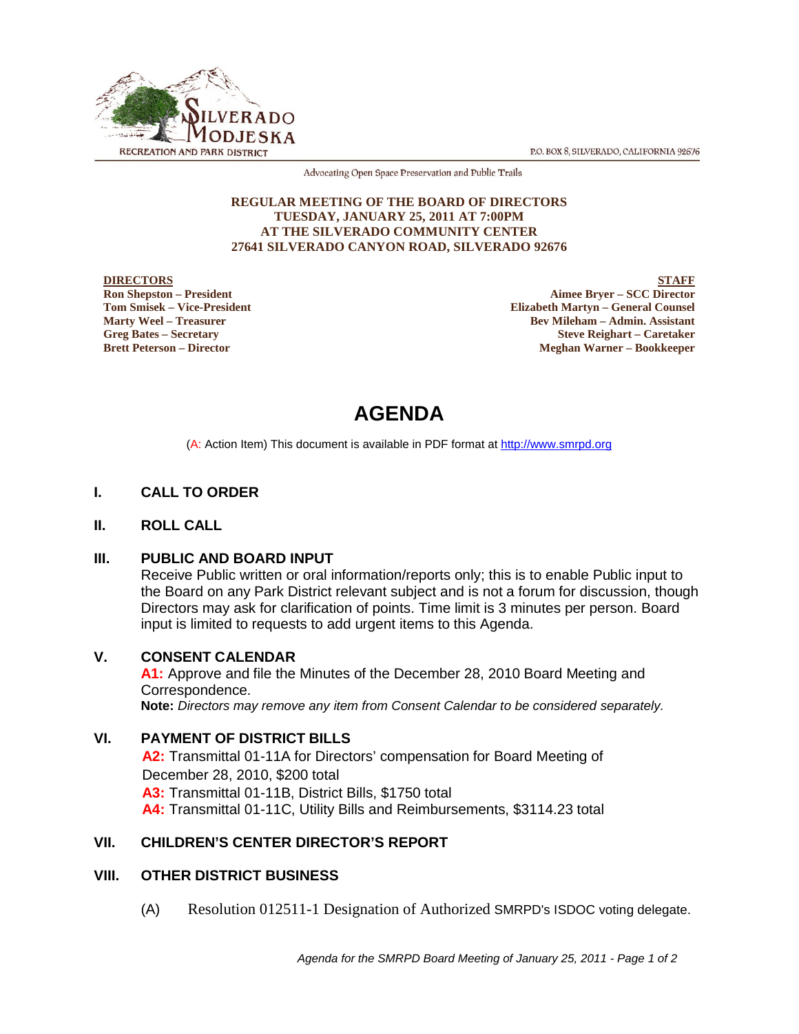

P.O. BOX 8, SILVERADO, CALIFORNIA 92676

Advocating Open Space Preservation and Public Trails

#### **REGULAR MEETING OF THE BOARD OF DIRECTORS TUESDAY, JANUARY 25, 2011 AT 7:00PM AT THE SILVERADO COMMUNITY CENTER 27641 SILVERADO CANYON ROAD, SILVERADO 92676**

#### **DIRECTORS**

**Ron Shepston – President Tom Smisek – Vice-President Marty Weel – Treasurer Greg Bates – Secretary Brett Peterson – Director**

**STAFF Aimee Bryer – SCC Director Elizabeth Martyn – General Counsel Bev Mileham – Admin. Assistant Steve Reighart – Caretaker Meghan Warner – Bookkeeper**

# **AGENDA**

(A: Action Item) This document is available in PDF format at http://www.smrpd.org

## **I. CALL TO ORDER**

#### **II. ROLL CALL**

#### **III. PUBLIC AND BOARD INPUT**

Receive Public written or oral information/reports only; this is to enable Public input to the Board on any Park District relevant subject and is not a forum for discussion, though Directors may ask for clarification of points. Time limit is 3 minutes per person. Board input is limited to requests to add urgent items to this Agenda.

#### **V. CONSENT CALENDAR**

**A1:** Approve and file the Minutes of the December 28, 2010 Board Meeting and Correspondence. **Note:** *Directors may remove any item from Consent Calendar to be considered separately.*

## **VI. PAYMENT OF DISTRICT BILLS**

**A2:** Transmittal 01-11A for Directors' compensation for Board Meeting of December 28, 2010, \$200 total **A3:** Transmittal 01-11B, District Bills, \$1750 total **A4:** Transmittal 01-11C, Utility Bills and Reimbursements, \$3114.23 total

## **VII. CHILDREN'S CENTER DIRECTOR'S REPORT**

#### **VIII. OTHER DISTRICT BUSINESS**

(A) Resolution 012511-1 Designation of Authorized SMRPD's ISDOC voting delegate.